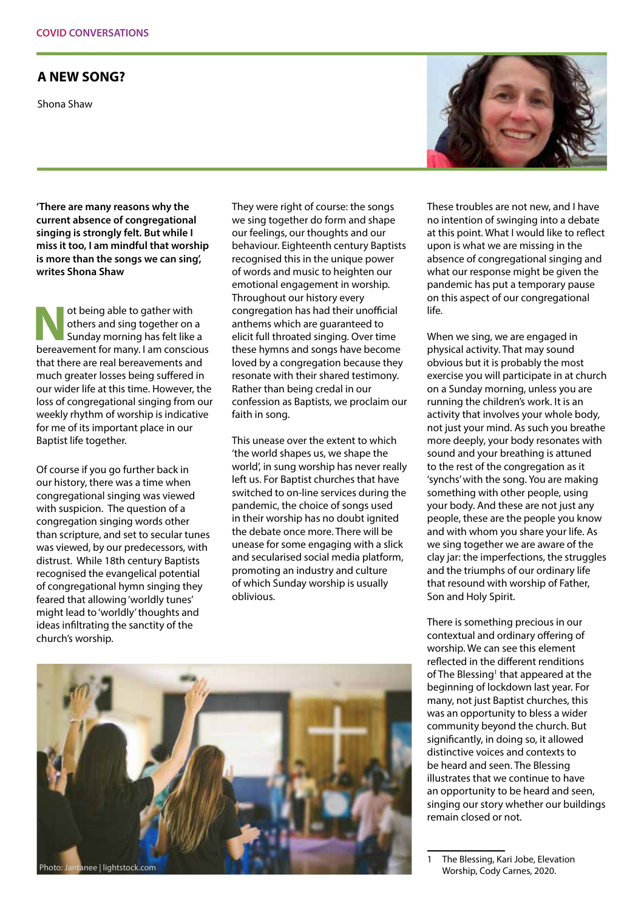## **A NEW SONG?**

Shona Shaw



**'There are many reasons why the current absence of congregational singing is strongly felt. But while I miss it too, I am mindful that worship is more than the songs we can sing', writes Shona Shaw**

ot being able to gather with<br>
others and sing together on a<br>
Sunday morning has felt like a<br>
hereal constrained by an appropriation others and sing together on a bereavement for many. I am conscious that there are real bereavements and much greater losses being suffered in our wider life at this time. However, the loss of congregational singing from our weekly rhythm of worship is indicative for me of its important place in our Baptist life together.

Of course if you go further back in our history, there was a time when congregational singing was viewed with suspicion. The question of a congregation singing words other than scripture, and set to secular tunes was viewed, by our predecessors, with distrust. While 18th century Baptists recognised the evangelical potential of congregational hymn singing they feared that allowing 'worldly tunes' might lead to 'worldly' thoughts and ideas infiltrating the sanctity of the church's worship.

They were right of course: the songs we sing together do form and shape our feelings, our thoughts and our behaviour. Eighteenth century Baptists recognised this in the unique power of words and music to heighten our emotional engagement in worship. Throughout our history every congregation has had their unofficial anthems which are guaranteed to elicit full throated singing. Over time these hymns and songs have become loved by a congregation because they resonate with their shared testimony. Rather than being credal in our confession as Baptists, we proclaim our faith in song.

This unease over the extent to which 'the world shapes us, we shape the world', in sung worship has never really left us. For Baptist churches that have switched to on-line services during the pandemic, the choice of songs used in their worship has no doubt ignited the debate once more. There will be unease for some engaging with a slick and secularised social media platform, promoting an industry and culture of which Sunday worship is usually oblivious.



These troubles are not new, and I have no intention of swinging into a debate at this point. What I would like to reflect upon is what we are missing in the absence of congregational singing and what our response might be given the pandemic has put a temporary pause on this aspect of our congregational life.

When we sing, we are engaged in physical activity. That may sound obvious but it is probably the most exercise you will participate in at church on a Sunday morning, unless you are running the children's work. It is an activity that involves your whole body, not just your mind. As such you breathe more deeply, your body resonates with sound and your breathing is attuned to the rest of the congregation as it 'synchs' with the song. You are making something with other people, using your body. And these are not just any people, these are the people you know and with whom you share your life. As we sing together we are aware of the clay jar: the imperfections, the struggles and the triumphs of our ordinary life that resound with worship of Father, Son and Holy Spirit.

There is something precious in our contextual and ordinary offering of worship. We can see this element reflected in the different renditions of The Blessing<sup>1</sup> that appeared at the beginning of lockdown last year. For many, not just Baptist churches, this was an opportunity to bless a wider community beyond the church. But significantly, in doing so, it allowed distinctive voices and contexts to be heard and seen. The Blessing illustrates that we continue to have an opportunity to be heard and seen, singing our story whether our buildings remain closed or not.

The Blessing, Kari Jobe, Elevation